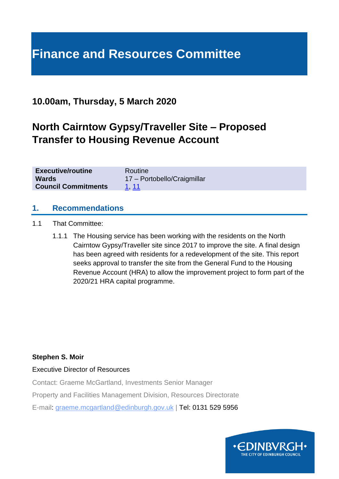# **Finance and Resources Committee**

### **10.00am, Thursday, 5 March 2020**

## **North Cairntow Gypsy/Traveller Site – Proposed Transfer to Housing Revenue Account**

| <b>Executive/routine</b>   | Routine                     |
|----------------------------|-----------------------------|
| <b>Wards</b>               | 17 - Portobello/Craigmillar |
| <b>Council Commitments</b> | <u>1, 11</u>                |

#### **1. Recommendations**

- 1.1 That Committee:
	- 1.1.1 The Housing service has been working with the residents on the North Cairntow Gypsy/Traveller site since 2017 to improve the site. A final design has been agreed with residents for a redevelopment of the site. This report seeks approval to transfer the site from the General Fund to the Housing Revenue Account (HRA) to allow the improvement project to form part of the 2020/21 HRA capital programme.

**Stephen S. Moir**

Executive Director of Resources

Contact: Graeme McGartland, Investments Senior Manager

Property and Facilities Management Division, Resources Directorate

E-mail: graeme.mcgartland@edinburgh.gov.uk | Tel: 0131 529 5956

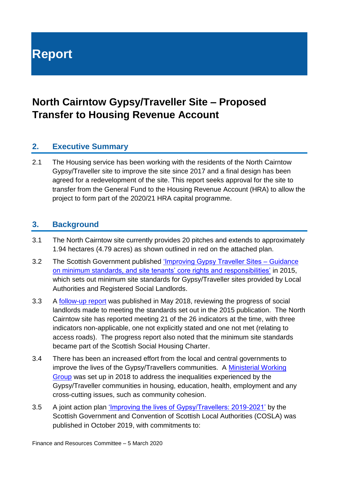**Report**

### **North Cairntow Gypsy/Traveller Site – Proposed Transfer to Housing Revenue Account**

#### **2. Executive Summary**

2.1 The Housing service has been working with the residents of the North Cairntow Gypsy/Traveller site to improve the site since 2017 and a final design has been agreed for a redevelopment of the site. This report seeks approval for the site to transfer from the General Fund to the Housing Revenue Account (HRA) to allow the project to form part of the 2020/21 HRA capital programme.

#### **3. Background**

- 3.1 The North Cairntow site currently provides 20 pitches and extends to approximately 1.94 hectares (4.79 acres) as shown outlined in red on the attached plan.
- 3.2 The Scottish Government published ['Improving Gypsy Traveller Sites –](https://www.gov.scot/publications/improving-gypsy-traveller-sites-guidance-minimum-sites-standards-site-tenants/pages/1/) Guidance [on minimum standards, and site tenants' core rights and responsibilities'](https://www.gov.scot/publications/improving-gypsy-traveller-sites-guidance-minimum-sites-standards-site-tenants/pages/1/) in 2015, which sets out minimum site standards for Gypsy/Traveller sites provided by Local Authorities and Registered Social Landlords.
- 3.3 A [follow-up report](https://www.gov.scot/publications/improving-gypsy-traveller-sites-guidance-minimum-sites-standards-site-tenants-9781788518949/) was published in May 2018, reviewing the progress of social landlords made to meeting the standards set out in the 2015 publication. The North Cairntow site has reported meeting 21 of the 26 indicators at the time, with three indicators non-applicable, one not explicitly stated and one not met (relating to access roads). The progress report also noted that the minimum site standards became part of the Scottish Social Housing Charter.
- 3.4 There has been an increased effort from the local and central governments to improve the lives of the Gypsy/Travellers communities. A [Ministerial Working](https://www.gov.scot/groups/ministerial-working-group-on-gypsy-travellers/)  [Group](https://www.gov.scot/groups/ministerial-working-group-on-gypsy-travellers/) was set up in 2018 to address the inequalities experienced by the Gypsy/Traveller communities in housing, education, health, employment and any cross-cutting issues, such as community cohesion.
- 3.5 A joint action plan ['Improving the lives of Gypsy/Travellers: 2019-2021'](https://www.gov.scot/publications/improving-lives-scotlands-gypsy-travellers-2019-2021/pages/1/) by the Scottish Government and Convention of Scottish Local Authorities (COSLA) was published in October 2019, with commitments to: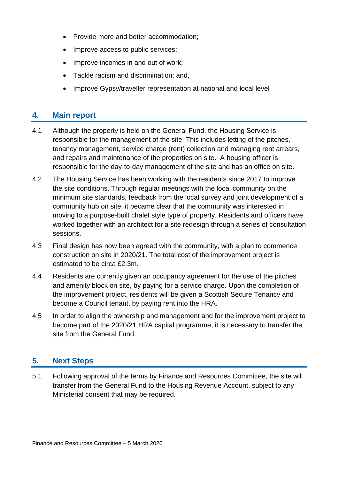- Provide more and better accommodation;
- Improve access to public services;
- Improve incomes in and out of work;
- Tackle racism and discrimination; and,
- Improve Gypsy/traveller representation at national and local level

#### **4. Main report**

- 4.1 Although the property is held on the General Fund, the Housing Service is responsible for the management of the site. This includes letting of the pitches, tenancy management, service charge (rent) collection and managing rent arrears, and repairs and maintenance of the properties on site. A housing officer is responsible for the day-to-day management of the site and has an office on site.
- 4.2 The Housing Service has been working with the residents since 2017 to improve the site conditions. Through regular meetings with the local community on the minimum site standards, feedback from the local survey and joint development of a community hub on site, it became clear that the community was interested in moving to a purpose-built chalet style type of property. Residents and officers have worked together with an architect for a site redesign through a series of consultation sessions.
- 4.3 Final design has now been agreed with the community, with a plan to commence construction on site in 2020/21. The total cost of the improvement project is estimated to be circa £2.3m.
- 4.4 Residents are currently given an occupancy agreement for the use of the pitches and amenity block on site, by paying for a service charge. Upon the completion of the improvement project, residents will be given a Scottish Secure Tenancy and become a Council tenant, by paying rent into the HRA.
- 4.5 In order to align the ownership and management and for the improvement project to become part of the 2020/21 HRA capital programme, it is necessary to transfer the site from the General Fund.

#### **5. Next Steps**

5.1 Following approval of the terms by Finance and Resources Committee, the site will transfer from the General Fund to the Housing Revenue Account, subject to any Ministerial consent that may be required.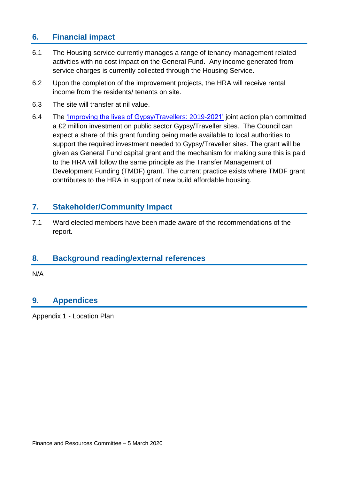#### **6. Financial impact**

- 6.1 The Housing service currently manages a range of tenancy management related activities with no cost impact on the General Fund. Any income generated from service charges is currently collected through the Housing Service.
- 6.2 Upon the completion of the improvement projects, the HRA will receive rental income from the residents/ tenants on site.
- 6.3 The site will transfer at nil value.
- 6.4 The ['Improving the lives of Gypsy/Travellers: 2019-2021'](https://www.gov.scot/publications/improving-lives-scotlands-gypsy-travellers-2019-2021/pages/1/) joint action plan committed a £2 million investment on public sector Gypsy/Traveller sites. The Council can expect a share of this grant funding being made available to local authorities to support the required investment needed to Gypsy/Traveller sites. The grant will be given as General Fund capital grant and the mechanism for making sure this is paid to the HRA will follow the same principle as the Transfer Management of Development Funding (TMDF) grant. The current practice exists where TMDF grant contributes to the HRA in support of new build affordable housing.

#### **7. Stakeholder/Community Impact**

7.1 Ward elected members have been made aware of the recommendations of the report.

#### **8. Background reading/external references**

N/A

#### **9. Appendices**

Appendix 1 - Location Plan